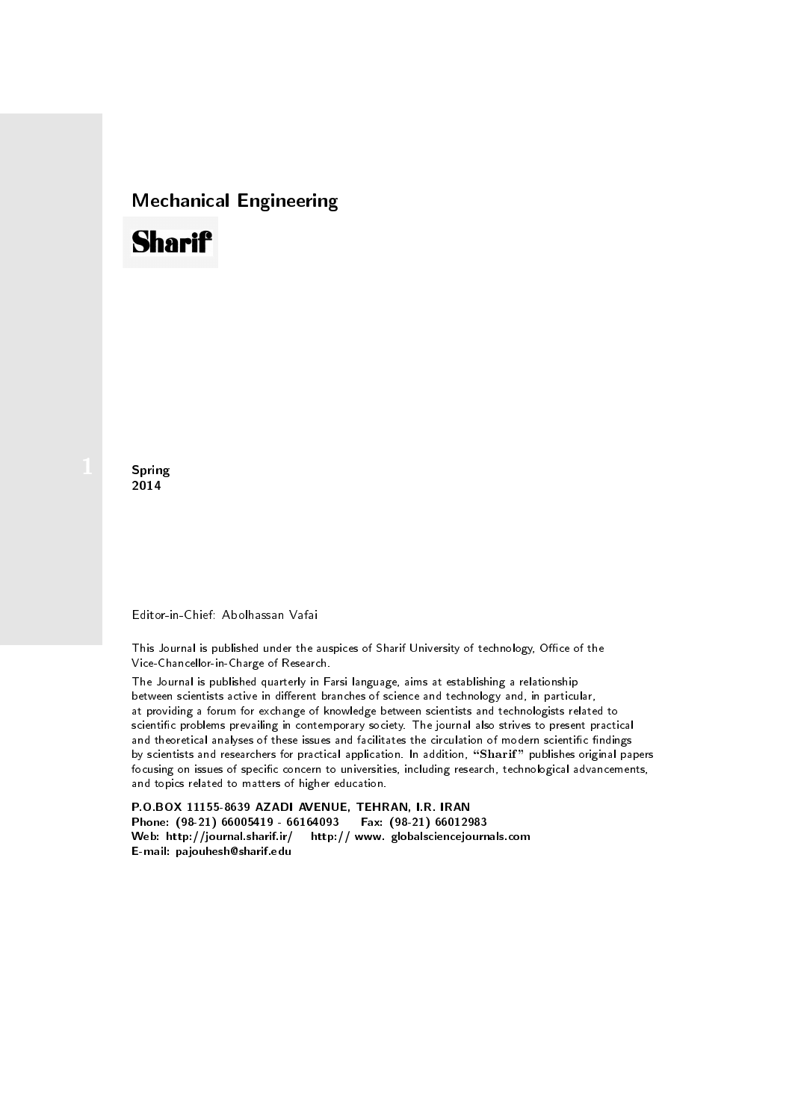## Mechanical Engineering

## **Sharif**

**Spring** 2014

## Editor-in-Chief: Abolhassan Vafai

This Journal is published under the auspices of Sharif University of technology, Office of the Vice-Chancellor-in-Charge of Research.

The Journal is published quarterly in Farsi language, aims at establishing a relationship between scientists active in different branches of science and technology and, in particular, at providing a forum for exchange of knowledge between scientists and technologists related to scientic problems prevailing in contemporary society. The journal also strives to present practical and theoretical analyses of these issues and facilitates the circulation of modern scientific findings by scientists and researchers for practical application. In addition, "Sharif" publishes original papers focusing on issues of specific concern to universities, including research, technological advancements, and topics related to matters of higher education.

P.O.BOX 11155-8639 AZADI AVENUE, TEHRAN, I.R. IRAN Phone: (98-21) 66005419 - 66164093 Fax: (98-21) 66012983 Web: http://journal.sharif.ir/ http:// www. globalsciencejournals.com E-mail: pajouhesh@sharif.edu